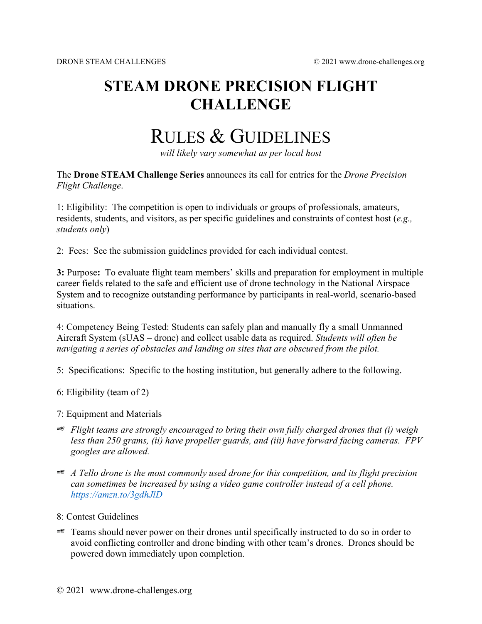## **STEAM DRONE PRECISION FLIGHT CHALLENGE**

# RULES & GUIDELINES

*will likely vary somewhat as per local host*

The **Drone STEAM Challenge Series** announces its call for entries for the *Drone Precision Flight Challenge*.

1: Eligibility: The competition is open to individuals or groups of professionals, amateurs, residents, students, and visitors, as per specific guidelines and constraints of contest host (*e.g., students only*)

2: Fees: See the submission guidelines provided for each individual contest.

**3:** Purpose**:** To evaluate flight team members' skills and preparation for employment in multiple career fields related to the safe and efficient use of drone technology in the National Airspace System and to recognize outstanding performance by participants in real-world, scenario-based situations.

4: Competency Being Tested: Students can safely plan and manually fly a small Unmanned Aircraft System (sUAS – drone) and collect usable data as required. *Students will often be navigating a series of obstacles and landing on sites that are obscured from the pilot.*

5: Specifications: Specific to the hosting institution, but generally adhere to the following.

- 6: Eligibility (team of 2)
- 7: Equipment and Materials
- *Flight teams are strongly encouraged to bring their own fully charged drones that (i) weigh less than 250 grams, (ii) have propeller guards, and (iii) have forward facing cameras. FPV googles are allowed.*
- *A Tello drone is the most commonly used drone for this competition, and its flight precision can sometimes be increased by using a video game controller instead of a cell phone. <https://amzn.to/3gdhJlD>*
- 8: Contest Guidelines
- $\mathscr{F}$  Teams should never power on their drones until specifically instructed to do so in order to avoid conflicting controller and drone binding with other team's drones. Drones should be powered down immediately upon completion.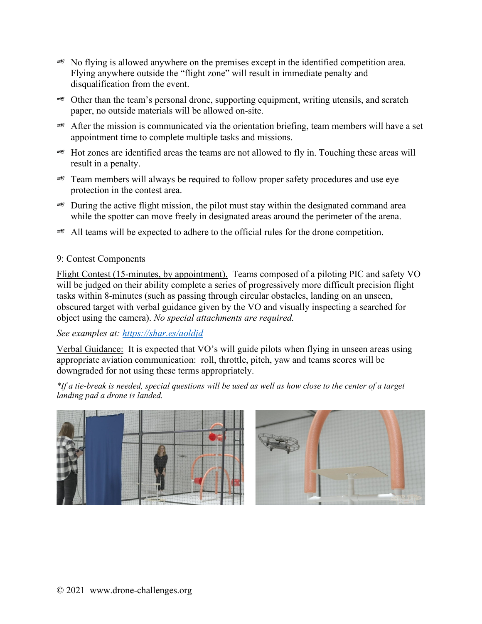- $\approx$  No flying is allowed anywhere on the premises except in the identified competition area. Flying anywhere outside the "flight zone" will result in immediate penalty and disqualification from the event.
- $\approx$  Other than the team's personal drone, supporting equipment, writing utensils, and scratch paper, no outside materials will be allowed on-site.
- $\approx$  After the mission is communicated via the orientation briefing, team members will have a set appointment time to complete multiple tasks and missions.
- $\approx$  Hot zones are identified areas the teams are not allowed to fly in. Touching these areas will result in a penalty.
- $\approx$  Team members will always be required to follow proper safety procedures and use eye protection in the contest area.
- $\approx$  During the active flight mission, the pilot must stay within the designated command area while the spotter can move freely in designated areas around the perimeter of the arena.
- $\approx$  All teams will be expected to adhere to the official rules for the drone competition.

#### 9: Contest Components

Flight Contest (15-minutes, by appointment). Teams composed of a piloting PIC and safety VO will be judged on their ability complete a series of progressively more difficult precision flight tasks within 8-minutes (such as passing through circular obstacles, landing on an unseen, obscured target with verbal guidance given by the VO and visually inspecting a searched for object using the camera). *No special attachments are required.* 

*See examples at:<https://shar.es/aoldjd>*

Verbal Guidance: It is expected that VO's will guide pilots when flying in unseen areas using appropriate aviation communication: roll, throttle, pitch, yaw and teams scores will be downgraded for not using these terms appropriately.

*\*If a tie-break is needed, special questions will be used as well as how close to the center of a target landing pad a drone is landed.*

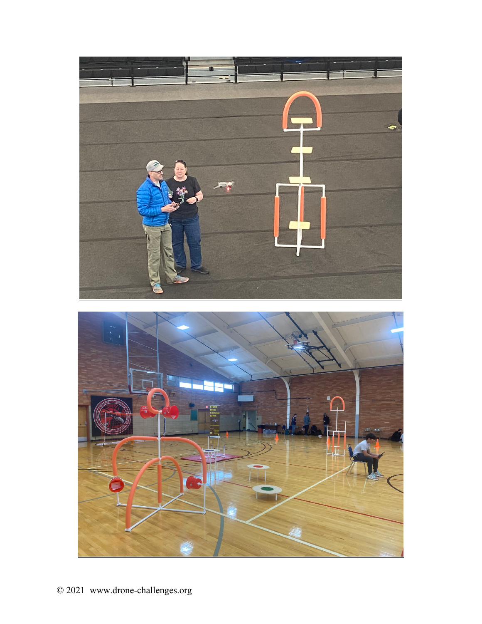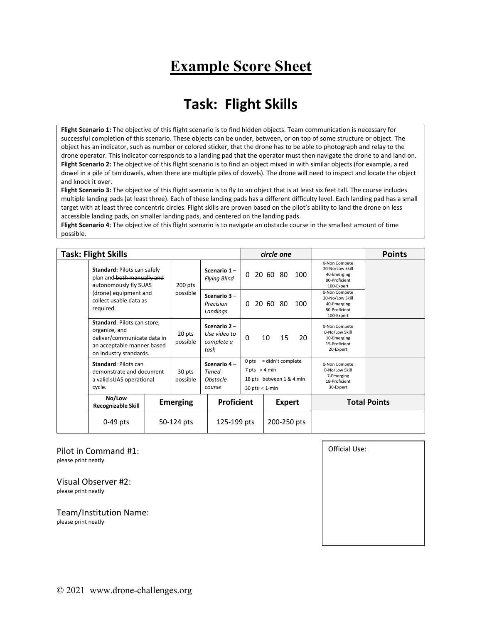## **Example Score Sheet**

#### **Task: Flight Skills**

**Flight Scenario 1:** The objective of this flight scenario is to find hidden objects. Team communication is necessary for successful completion of this scenario. These objects can be under, between, or on top of some structure or object. The object has an indicator, such as number or colored sticker, that the drone has to be able to photograph and relay to the drone operator. This indicator corresponds to a landing pad that the operator must then navigate the drone to and land on. **Flight Scenario 2:** The objective of this flight scenario is to find an object mixed in with similar objects (for example, a red dowel in a pile of tan dowels, when there are multiple piles of dowels). The drone will need to inspect and locate the object and knock it over.

**Flight Scenario 3:** The objective of this flight scenario is to fly to an object that is at least six feet tall. The course includes multiple landing pads (at least three). Each of these landing pads has a different difficulty level. Each landing pad has a small target with at least three concentric circles. Flight skills are proven based on the pilot's ability to land the drone on less accessible landing pads, on smaller landing pads, and centered on the landing pads.

**Flight Scenario 4**: The objective of this flight scenario is to navigate an obstacle course in the smallest amount of time possible.

|  | <b>Task: Flight Skills</b>                                                                                                                                                                                                                                                                       |  |                    |                                                   |                                                                                                 | circle one    |                                                                             |                                                                                | <b>Points</b> |
|--|--------------------------------------------------------------------------------------------------------------------------------------------------------------------------------------------------------------------------------------------------------------------------------------------------|--|--------------------|---------------------------------------------------|-------------------------------------------------------------------------------------------------|---------------|-----------------------------------------------------------------------------|--------------------------------------------------------------------------------|---------------|
|  | Standard: Pilots can safely<br>plan and both manually and<br>autonomously fly SUAS                                                                                                                                                                                                               |  | $200$ pts          | Scenario 1-<br><b>Flying Blind</b>                | 0                                                                                               | 20 60 80      | 100                                                                         | 0-Non Compete<br>20-No/Low Skill<br>40-Emerging<br>80-Proficient<br>100-Expert |               |
|  | (drone) equipment and<br>collect usable data as<br>required.                                                                                                                                                                                                                                     |  | possible           | Scenario 3-<br>Precision<br>Landings              | $\Omega$                                                                                        | 20 60 80      | 100                                                                         | 0-Non Compete<br>20-No/Low Skill<br>40-Emerging<br>80-Proficient<br>100-Expert |               |
|  | <b>Standard: Pilots can store,</b><br>organize, and<br>deliver/communicate data in<br>an acceptable manner based<br>on industry standards.<br><b>Standard: Pilots can</b><br>demonstrate and document<br>a valid sUAS operational<br>cycle.<br>No/Low<br><b>Recognizable Skill</b><br>$0-49$ pts |  | 20 pts<br>possible | Scenario 2-<br>Use video to<br>complete a<br>task | $\mathbf{0}$                                                                                    | 10<br>15      | 20                                                                          | 0-Non Compete<br>0-No/Low Skill<br>10-Emerging<br>15-Proficient<br>20-Expert   |               |
|  |                                                                                                                                                                                                                                                                                                  |  | 30 pts<br>possible | Scenario 4-<br>Timed<br>Obstacle<br>course        | = didn't complete<br>0 pts<br>$7$ pts $> 4$ min<br>18 pts between 1 & 4 min<br>$30$ pts < 1-min |               | 0-Non Compete<br>0-No/Low Skill<br>7-Emerging<br>18-Proficient<br>30-Expert |                                                                                |               |
|  |                                                                                                                                                                                                                                                                                                  |  | <b>Emerging</b>    | <b>Proficient</b>                                 |                                                                                                 | <b>Expert</b> |                                                                             | <b>Total Points</b>                                                            |               |
|  |                                                                                                                                                                                                                                                                                                  |  | 50-124 pts         |                                                   | 125-199 pts                                                                                     |               | 200-250 pts                                                                 |                                                                                |               |

Pilot in Command #1: please print neatly

Visual Observer #2: please print neatly

Team/Institution Name: please print neatly

Official Use: